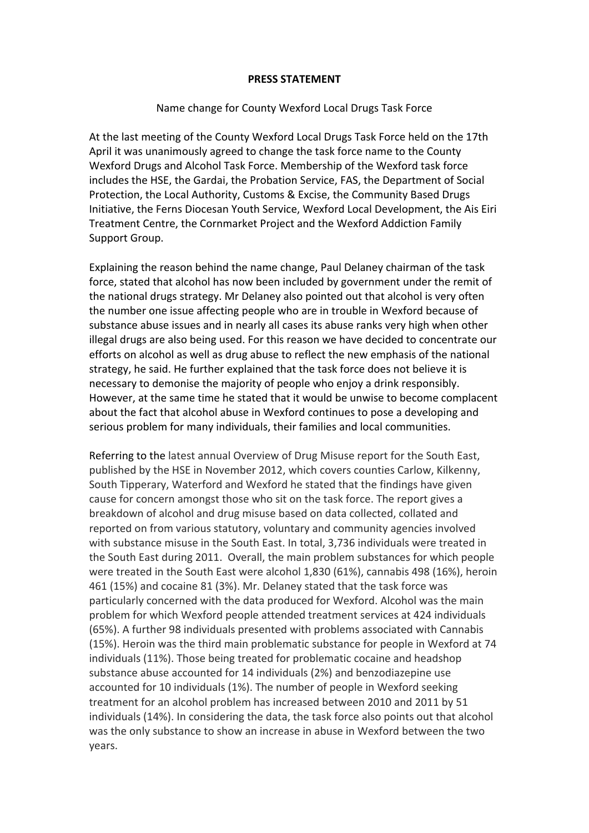## **PRESS STATEMENT**

## Name change for County Wexford Local Drugs Task Force

At the last meeting of the County Wexford Local Drugs Task Force held on the 17th April it was unanimously agreed to change the task force name to the County Wexford Drugs and Alcohol Task Force. Membership of the Wexford task force includes the HSE, the Gardai, the Probation Service, FAS, the Department of Social Protection, the Local Authority, Customs & Excise, the Community Based Drugs Initiative, the Ferns Diocesan Youth Service, Wexford Local Development, the Ais Eiri Treatment Centre, the Cornmarket Project and the Wexford Addiction Family Support Group.

Explaining the reason behind the name change, Paul Delaney chairman of the task force, stated that alcohol has now been included by government under the remit of the national drugs strategy. Mr Delaney also pointed out that alcohol is very often the number one issue affecting people who are in trouble in Wexford because of substance abuse issues and in nearly all cases its abuse ranks very high when other illegal drugs are also being used. For this reason we have decided to concentrate our efforts on alcohol as well as drug abuse to reflect the new emphasis of the national strategy, he said. He further explained that the task force does not believe it is necessary to demonise the majority of people who enjoy a drink responsibly. However, at the same time he stated that it would be unwise to become complacent about the fact that alcohol abuse in Wexford continues to pose a developing and serious problem for many individuals, their families and local communities.

Referring to the latest annual Overview of Drug Misuse report for the South East, published by the HSE in November 2012, which covers counties Carlow, Kilkenny, South Tipperary, Waterford and Wexford he stated that the findings have given cause for concern amongst those who sit on the task force. The report gives a breakdown of alcohol and drug misuse based on data collected, collated and reported on from various statutory, voluntary and community agencies involved with substance misuse in the South East. In total, 3,736 individuals were treated in the South East during 2011. Overall, the main problem substances for which people were treated in the South East were alcohol 1,830 (61%), cannabis 498 (16%), heroin 461 (15%) and cocaine 81 (3%). Mr. Delaney stated that the task force was particularly concerned with the data produced for Wexford. Alcohol was the main problem for which Wexford people attended treatment services at 424 individuals (65%). A further 98 individuals presented with problems associated with Cannabis (15%). Heroin was the third main problematic substance for people in Wexford at 74 individuals (11%). Those being treated for problematic cocaine and headshop substance abuse accounted for 14 individuals (2%) and benzodiazepine use accounted for 10 individuals (1%). The number of people in Wexford seeking treatment for an alcohol problem has increased between 2010 and 2011 by 51 individuals (14%). In considering the data, the task force also points out that alcohol was the only substance to show an increase in abuse in Wexford between the two years.